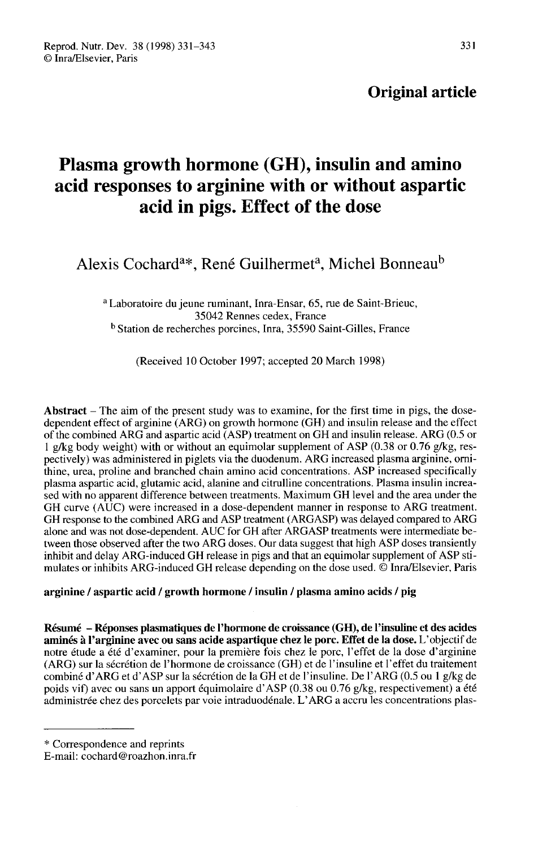# Original article

# Plasma growth hormone (GH), insulin and amino acid responses to arginine with or without aspartic acid in pigs. Effect of the dose Alexis Cochard<sup>a\*</sup>, René Guilhermet<sup>a</sup>, Michel Bonneau<sup>l</sup><br>Alexis Cochard<sup>a\*</sup>, René Guilhermet<sup>a</sup>, Michel Bonneau<sup>l</sup>

<sup>a</sup> Laboratoire du jeune ruminant, Inra-Ensar, 65, rue de Saint-Brieuc, 35042 Rennes cedex, France <sup>b</sup> Station de recherches porcines, Inra, 35590 Saint-Gilles, France

(Received 10 October 1997; accepted 20 March 1998)

Abstract  $-$  The aim of the present study was to examine, for the first time in pigs, the dosedependent effect of arginine (ARG) on growth hormone (GH) and insulin release and the effect of the combined ARG and aspartic acid (ASP) treatment on GH and insulin release. ARG (0.5 or 1 g/kg body weight) with or without an equimolar supplement of ASP (0.38 or 0.76 g/kg, respectively) was administered in piglets via the duodenum. ARG increased plasma arginine, omithine, urea, proline and branched chain amino acid concentrations. ASP increased specifically plasma aspartic acid, glutamic acid, alanine and citrulline concentrations. Plasma insulin increased with no apparent difference between treatments. Maximum GH level and the area under the GH curve (AUC) were increased in a dose-dependent manner in response to ARG treatment. GH response to the combined ARG and ASP treatment (ARGASP) was delayed compared to ARG alone and was not dose-dependent. AUC for GH after ARGASP treatments were intermediate between those observed after the two ARG doses. Our data suggest that high ASP doses transiently inhibit and delay ARG-induced GH release in pigs and that an equimolar supplement of ASP stimulates or inhibits ARG-induced GH release depending on the dose used. © Inra/Elsevier, Paris

#### arginine / aspartic acid / growth hormone / insulin / plasma amino acids / pig

Résumé - Réponses plasmatiques de l'hormone de croissance (GH), de l'insuline et des acides aminés à l'arginine avec ou sans acide aspartique chez le porc. Effet de la dose. L'objectif de notre étude a été d'examiner, pour la première fois chez le porc, l'effet de la dose d'arginine (ARG) sur la sécrétion de l'hormone de croissance (GH) et de l'insuline et l'effet du traitement combiné d'ARG et d'ASP sur la sécrétion de la GH et de l'insuline. De l'ARG (0.5 ou 1 g/kg de poids vif) avec ou sans un apport équimolaire d'ASP (0.38 ou 0.76 g/kg, respectivement) a été administrée chez des porcelets par voie intraduodénale. L'ARG a accru les concentrations plas-

<sup>\*</sup> Correspondence and reprints

E-mail: cochard@roazhon.inra.fr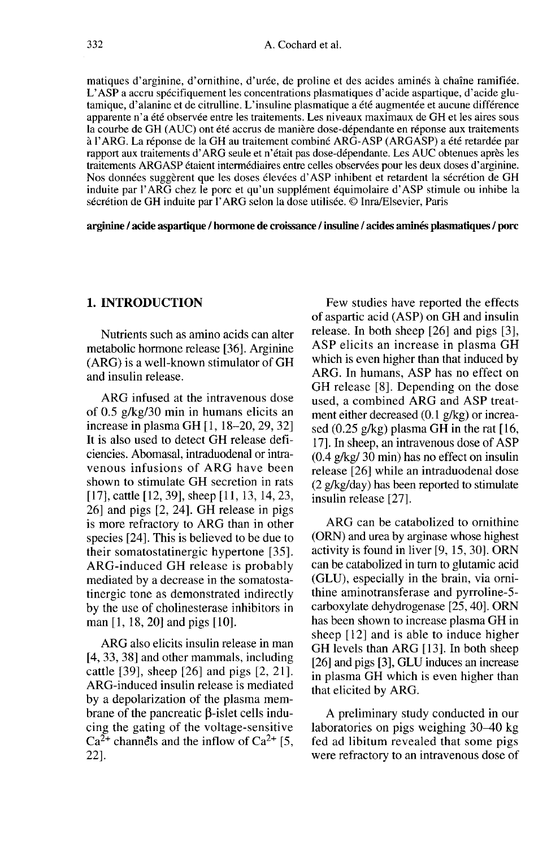matiques d'arginine, d'ornithine, d'urée, de proline et des acides aminés à chaîne ramifiée. L'ASP a accru spécifiquement les concentrations plasmatiques d'acide aspartique, d'acide glutamique, d'alanine et de citrulline. L'insuline plasmatique a été augmentée et aucune différence apparente n'a été observée entre les traitements. Les niveaux maximaux de GH et les aires sous la courbe de GH (AUC) ont été accrus de manière dose-dépendante en réponse aux traitements à l'ARG. La réponse de la GH au traitement combiné ARG-ASP (ARGASP) a été retardée par rapport aux traitements d'ARG seule et n'était pas dose-dépendante. Les AUC obtenues après les traitements ARGASP étaient intermédiaires entre celles observées pour les deux doses d'arginine. Nos données suggèrent que les doses élevées d'ASP inhibent et retardent la sécrétion de GH induite par l'ARG chez le porc et qu'un supplément équimolaire d'ASP stimule ou inhibe la sécrétion de GH induite par l'ARG selon la dose utilisée. @ Inra/Elsevier, Paris

arginine / acide aspartique / hormone de croissance / insuline / acides aminés plasmatiques / porc

#### 1. INTRODUCTION

Nutrients such as amino acids can alter metabolic hormone release [36]. Arginine (ARG) is a well-known stimulator of GH and insulin release.

ARG infused at the intravenous dose of 0.5 g/kg/30 min in humans elicits an increase in plasma GH [1, 18-20, 29, 32] It is also used to detect GH release deficiencies. Abomasal, intraduodenal or intravenous infusions of ARG have been shown to stimulate GH secretion in rats [17], cattle [12, 39], sheep [11, 13, 14, 23, 26] and pigs [2, 24]. GH release in pigs is more refractory to ARG than in other species [24]. This is believed to be due to their somatostatinergic hypertone [35]. ARG-induced GH release is probably mediated by a decrease in the somatostatinergic tone as demonstrated indirectly by the use of cholinesterase inhibitors in man [1, 18, 20] and pigs [10].

ARG also elicits insulin release in man [4, 33, 38] and other mammals, including cattle [39], sheep [26] and pigs [2, 21]. ARG-induced insulin release is mediated by a depolarization of the plasma membrane of the pancreatic  $\beta$ -islet cells inducing the gating of the voltage-sensitive  $Ca^{2+}$  channels and the inflow of Ca<sup>2+</sup> [5, 22].

Few studies have reported the effects of aspartic acid (ASP) on GH and insulin release. In both sheep [26] and pigs [3], ASP elicits an increase in plasma GH which is even higher than that induced by ARG. In humans, ASP has no effect on GH release [8]. Depending on the dose used, a combined ARG and ASP treatment either decreased (0.1 g/kg) or increased  $(0.25 \text{ g/kg})$  plasma GH in the rat [16, 17]. In sheep, an intravenous dose of ASP  $(0.4 \frac{\rho}{\text{kg}}/30 \text{ min})$  has no effect on insulin release [26] while an intraduodenal dose (2 g/kg/day) has been reported to stimulate insulin release [27].

ARG can be catabolized to ornithine (ORN) and urea by arginase whose highest activity is found in liver [9, 15, 30]. ORN can be catabolized in turn to glutamic acid (GLU), especially in the brain, via omithine aminotransferase and pyrroline-5 carboxylate dehydrogenase [25, 40]. ORN has been shown to increase plasma GH in sheep [12] and is able to induce higher GH levels than ARG [13]. In both sheep [26] and pigs [3], GLU induces an increase in plasma GH which is even higher than that elicited by ARG.

A preliminary study conducted in our laboratories on pigs weighing 30-40 kg fed ad libitum revealed that some pigs were refractory to an intravenous dose of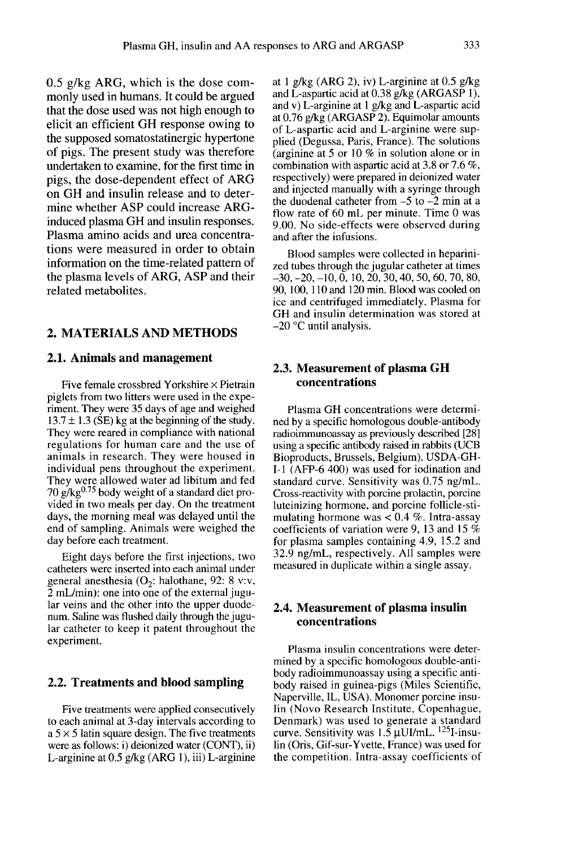0.5 g/kg ARG, which is the dose commonly used in humans. It could be argued that the dose used was not high enough to elicit an efficient GH response owing to the supposed somatostatinergic hypertone of pigs. The present study was therefore undertaken to examine, for the first time in pigs, the dose-dependent effect of ARG on GH and insulin release and to determine whether ASP could increase ARGinduced plasma GH and insulin responses. Plasma amino acids and urea concentrations were measured in order to obtain information on the time-related pattern of the plasma levels of ARG, ASP and their related metabolites.

#### 2. MATERIALS AND METHODS

#### 2.1. Animals and management

Five female crossbred Yorkshire  $\times$  Pietrain piglets from two litters were used in the experiment. They were 35 days of age and weighed  $13.7 \pm 1.3$  (SE) kg at the beginning of the study. They were reared in compliance with national regulations for human care and the use of animals in research. They were housed in individual pens throughout the experiment. They were allowed water ad libitum and fed animals in research. They were housed in<br>individual pens throughout the experiment.<br>They were allowed water ad libitum and fed<br>70 g/kg<sup>0.75</sup> body weight of a standard diet pro-<br>vided in two meals per day. On the treatment vided in two meals per day. On the treatment days, the morning meal was delayed until the end of sampling. Animals were weighed the day before each treatment.

Eight days before the first injections, two catheters were inserted into each animal under general anesthesia  $(O_2: \text{halothane}, 92: 8 \text{ v.v.})$ 2 mL/min): one into one of the external jugular veins and the other into the upper duodenum. Saline was flushed daily through the jugular catheter to keep it patent throughout the experiment.

#### 2.2. Treatments and blood sampling

Five treatments were applied consecutively to each animal at 3-day intervals according to  $a$  5  $\times$  5 latin square design. The five treatments were as follows: i) deionized water (CONT), ii) L-arginine at  $0.5$  g/kg (ARG 1), iii) L-arginine

at 1 g/kg (ARG 2), iv) L-arginine at 0.5 g/kg and L-aspartic acid at  $0.38$  g/kg (ARGASP 1), and v) L-arginine at 1 g/kg and L-aspartic acid at 0.76 g/kg (ARGASP 2). Equimolar amounts of L-aspartic acid and L-arginine were supplied (Degussa, Paris, France). The solutions (arginine at 5 or 10 % in solution alone or in combination with aspartic acid at 3.8 or 7.6 %, respectively) were prepared in deionized water and injected manually with a syringe through the duodenal catheter from  $-5$  to  $-2$  min at a flow rate of 60 mL per minute. Time 0 was 9.00. No side-effects were observed during and after the infusions.

Blood samples were collected in heparinized tubes through the jugular catheter at times - 30,-20,-10,0,10,20,30,40,50,60,70,80, 90, 100, 110 and 120 min. Blood was cooled on ice and centrifuged immediately. Plasma for GH and insulin determination was stored at  $-20$  °C until analysis.

# 2.3. Measurement of plasma GH concentrations

Plasma GH concentrations were determined by a specific homologous double-antibody radioimmunoassay as previously described [28] using a specific antibody raised in rabbits (UCB Bioproducts, Brussels, Belgium). USDA-GH-I-1 (AFP-6 400) was used for iodination and standard curve. Sensitivity was 0.75 ng/mL. Cross-reactivity with porcine prolactin, porcine luteinizing hormone, and porcine follicle-stimulating hormone was  $< 0.4$  %. Intra-assay coefficients of variation were 9, 13 and 15 % for plasma samples containing 4.9, 15.2 and 32.9 ng/mL, respectively. All samples were measured in duplicate within a single assay.

# 2.4. Measurement of plasma insulin concentrations

Plasma insulin concentrations were determined by a specific homologous double-antibody radioimmunoassay using a specific antibody raised in guinea-pigs (Miles Scientific, Naperville, IL, USA). Monomer porcine insulin (Novo Research Institute, Copenhague, Denmark) was used to generate a standard curve. Sensitivity was  $1.\overline{5}$   $\mu$ UI/mL. <sup>125</sup>I-insulin (Oris, Gif-sur-Yvette, France) was used for the competition. Intra-assay coefficients of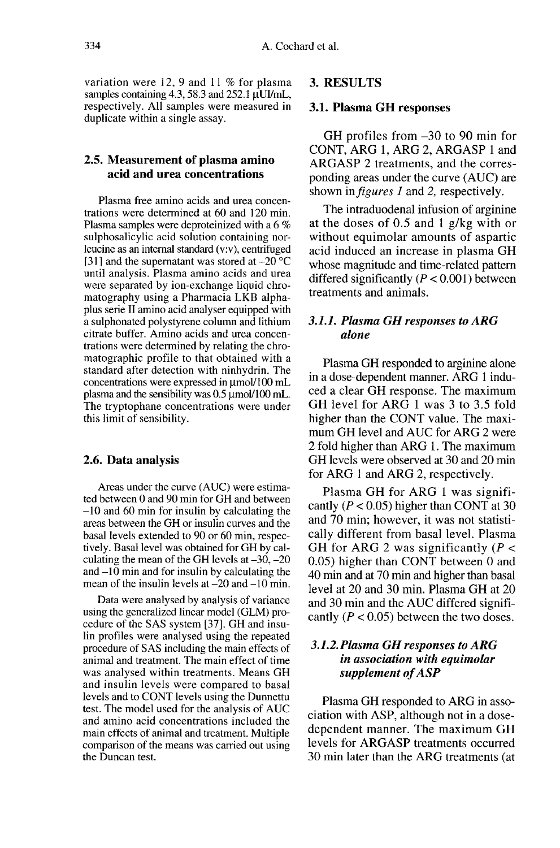variation were 12, 9 and 11 % for plasma<br>samples containing 4.3, 58.3 and 252.1  $\mu$ UJ/mL,<br>respectively. All samples were measured in respectively. All samples were measured in duplicate within a single assay.

# 2.5. Measurement of plasma amino acid and urea concentrations

Plasma free amino acids and urea concentrations were determined at 60 and 120 min. Plasma samples were deproteinized with a 6 % sulphosalicylic acid solution containing norleucine as an internal standard (v:v), centrifuged [31] and the supernatant was stored at  $-20^{\circ}$ C until analysis. Plasma amino acids and urea were separated by ion-exchange liquid chromatography using a Pharmacia LKB alphaplus serie II amino acid analyser equipped with a sulphonated polystyrene column and lithium citrate buffer. Amino acids and urea concentrations were determined by relating the chromatographic profile to that obtained with a standard after detection with ninhydrin. The concentrations were expressed in  $\mu$ mol/100 mL plasma and the sensibility was  $0.5 \mu$  mol/100 mL. The tryptophane concentrations were under this limit of sensibility.

#### 2.6. Data analysis

Areas under the curve (AUC) were estimated between 0 and 90 min for GH and between  $-10$  and 60 min for insulin by calculating the areas between the GH or insulin curves and the basal levels extended to 90 or 60 min, respectively. Basal level was obtained for GH by calculating the mean of the GH levels at  $-30$ ,  $-20$ and  $-10$  min and for insulin by calculating the mean of the insulin levels at  $-20$  and  $-10$  min.

Data were analysed by analysis of variance using the generalized linear model (GLM) procedure of the SAS system [37]. GH and insulin profiles were analysed using the repeated procedure of SAS including the main effects of animal and treatment. The main effect of time was analysed within treatments. Means GH and insulin levels were compared to basal levels and to CONT levels using the Dunnettu test. The model used for the analysis of AUC and amino acid concentrations included the main effects of animal and treatment. Multiple comparison of the means was carried out using the Duncan test.

# 3. RESULTS

#### 3.1. Plasma GH responses

GH profiles from -30 to 90 min for CONT, ARG 1, ARG 2, ARGASP 1 and ARGASP 2 treatments, and the corresponding areas under the curve (AUC) are shown in *figures 1* and 2, respectively.

The intraduodenal infusion of arginine at the doses of 0.5 and 1 g/kg with or without equimolar amounts of aspartic acid induced an increase in plasma GH whose magnitude and time-related pattern differed significantly  $(P < 0.001)$  between treatments and animals.

# 3.1.1. Plasma GH responses to ARG alone

Plasma GH responded to arginine alone in a dose-dependent manner. ARG 1 induced a clear GH response. The maximum GH level for ARG 1 was 3 to 3.5 fold higher than the CONT value. The maximum GH level and AUC for ARG 2 were 2 fold higher than ARG 1. The maximum GH levels were observed at 30 and 20 min for ARG 1 and ARG 2, respectively.

Plasma GH for ARG 1 was significantly ( $P < 0.05$ ) higher than CONT at 30 and 70 min; however, it was not statistically different from basal level. Plasma GH for ARG 2 was significantly  $(P <$ 0.05) higher than CONT between 0 and 40 min and at 70 min and higher than basal level at 20 and 30 min. Plasma GH at 20 and 30 min and the AUC differed significantly ( $P < 0.05$ ) between the two doses.

# 3.1.2. Plasma GH responses to ARG in association with equimolar supplement of ASP

Plasma GH responded to ARG in association with ASP, although not in a dosedependent manner. The maximum GH levels for ARGASP treatments occurred 30 min later than the ARG treatments (at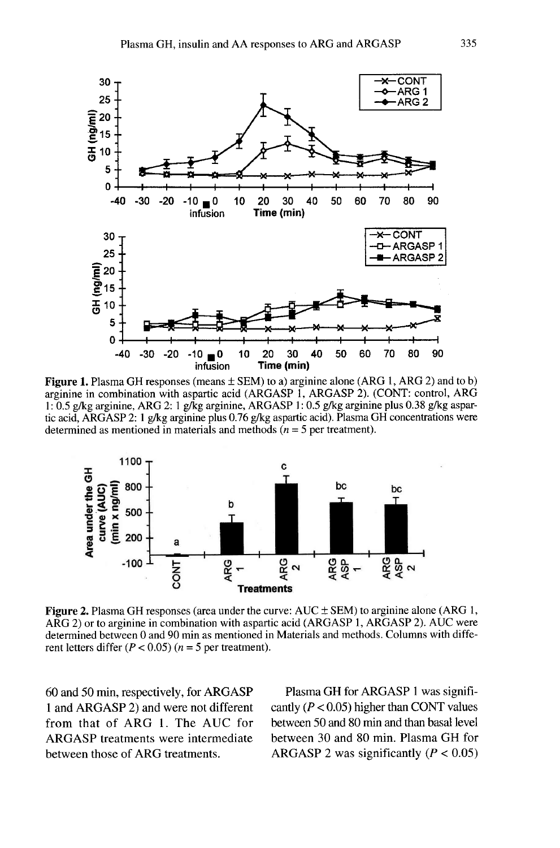

Figure 1. Plasma GH responses (means  $\pm$  SEM) to a) arginine alone (ARG 1, ARG 2) and to b) arginine in combination with aspartic acid (ARGASP 1, ARGASP 2). (CONT: control, ARG 1: 0.5 g/kg arginine, ARG 2: 1 g/kg arginine, ARGASP 1: 0.5 g/kg arginine plus 0.38 g/kg aspartic acid, ARGASP 2: 1 g/kg arginine plus 0.76 g/kg aspartic acid). Plasma GH concentrations were determined as mentioned in materials and methods ( $n = 5$  per treatment).



**Figure 2.** Plasma GH responses (area under the curve:  $AUC \pm SEM$ ) to arginine alone (ARG 1, ARG 2) or to arginine in combination with aspartic acid (ARGASP 1, ARGASP 2). AUC were determined between 0 and 90 min as mentioned in Materials and methods. Columns with different letters differ ( $P < 0.05$ ) ( $n = 5$  per treatment).

60 and 50 min, respectively, for ARGASP 1 and ARGASP 2) and were not different from that of ARG 1. The AUC for ARGASP treatments were intermediate between those of ARG treatments.

Plasma GH for ARGASP 1 was significantly ( $P < 0.05$ ) higher than CONT values between 50 and 80 min and than basal level between 30 and 80 min. Plasma GH for ARGASP 2 was significantly  $(P < 0.05)$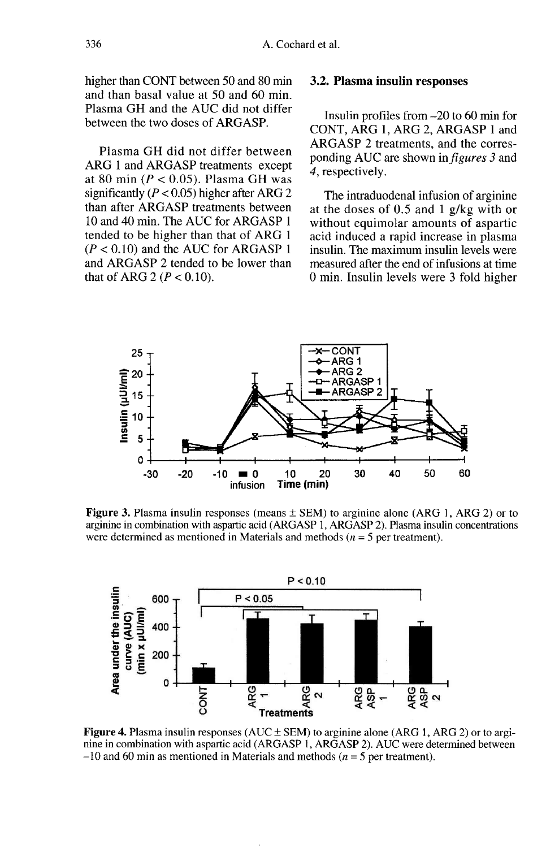higher than CONT between 50 and 80 min and than basal value at 50 and 60 min. Plasma GH and the AUC did not differ between the two doses of ARGASP.

Plasma GH did not differ between ARG 1 and ARGASP treatments except at 80 min ( $P < 0.05$ ). Plasma GH was significantly ( $P < 0.05$ ) higher after ARG 2 than after ARGASP treatments between 10 and 40 min. The AUC for ARGASP 1 tended to be higher than that of ARG 1  $(P < 0.10)$  and the AUC for ARGASP 1 and ARGASP 2 tended to be lower than that of ARG 2 ( $P < 0.10$ ).

# 3.2. Plasma insulin responses

Insulin profiles from -20 to 60 min for CONT, ARG 1, ARG 2, ARGASP 1 and ARGASP 2 treatments, and the corresponding AUC are shown in figures 3 and 4, respectively.

The intraduodenal infusion of arginine at the doses of 0.5 and 1 g/kg with or without equimolar amounts of aspartic acid induced a rapid increase in plasma insulin. The maximum insulin levels were measured after the end of infusions at time 0 min. Insulin levels were 3 fold higher



**Figure 3.** Plasma insulin responses (means  $\pm$  SEM) to arginine alone (ARG 1, ARG 2) or to arginine in combination with aspartic acid (ARGASP 1, ARGASP 2). Plasma insulin concentrations were determined as mentioned in Materials and methods ( $n = 5$  per treatment).



Figure 4. Plasma insulin responses ( $AUC \pm SEM$ ) to arginine alone (ARG 1, ARG 2) or to arginine in combination with aspartic acid (ARGASP 1, ARGASP 2). AUC were determined between  $-10$  and 60 min as mentioned in Materials and methods ( $n = 5$  per treatment).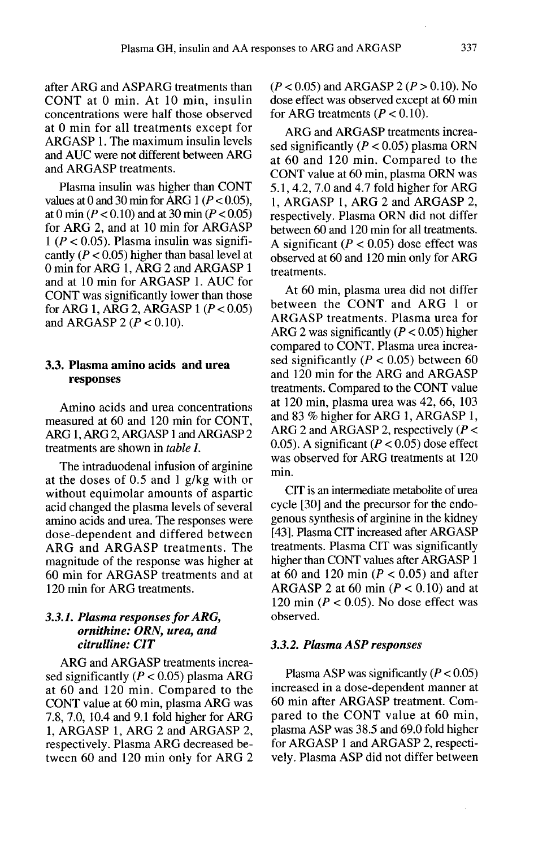after ARG and ASPARG treatments than CONT at 0 min. At 10 min, insulin concentrations were half those observed at 0 min for all treatments except for ARGASP 1. The maximum insulin levels and AUC were not different between ARG and ARGASP treatments.

Plasma insulin was higher than CONT values at 0 and 30 min for ARG 1 ( $P < 0.05$ ), at 0 min ( $P < 0.10$ ) and at 30 min ( $P < 0.05$ ) for ARG 2, and at 10 min for ARGASP  $1 (P < 0.05)$ . Plasma insulin was significantly ( $P < 0.05$ ) higher than basal level at 0 min for ARG 1, ARG 2 and ARGASP 1 and at 10 min for ARGASP 1. AUC for CONT was significantly lower than those for ARG 1, ARG 2, ARGASP 1  $(P < 0.05)$ and ARGASP 2 ( $P < 0.10$ ).

#### 3.3. Plasma amino acids and urea responses

Amino acids and urea concentrations measured at 60 and 120 min for CONT, ARG 1, ARG 2, ARGASP 1 and ARGASP 2 treatments are shown in *table 1*.

The intraduodenal infusion of arginine at the doses of 0.5 and 1 g/kg with or without equimolar amounts of aspartic acid changed the plasma levels of several amino acids and urea. The responses were dose-dependent and differed between ARG and ARGASP treatments. The magnitude of the response was higher at 60 min for ARGASP treatments and at 120 min for ARG treatments.

#### 3.3.1. Plasma responses for ARG, ornithine: ORN, urea, and citrulline: CIT

ARG and ARGASP treatments increased significantly ( $P < 0.05$ ) plasma ARG at 60 and 120 min. Compared to the CONT value at 60 min, plasma ARG was 7.8, 7.0, 10.4 and 9.1 fold higher for ARG 1, ARGASP 1, ARG 2 and ARGASP 2, respectively. Plasma ARG decreased between 60 and 120 min only for ARG 2

 $(P < 0.05)$  and ARGASP 2  $(P > 0.10)$ . No dose effect was observed except at 60 min for ARG treatments ( $P < 0.10$ ).

ARG and ARGASP treatments increased significantly ( $P < 0.05$ ) plasma ORN at 60 and 120 min. Compared to the CONT value at 60 min, plasma ORN was 5.1, 4.2, 7.0 and 4.7 fold higher for ARG 1, ARGASP 1, ARG 2 and ARGASP 2, respectively. Plasma ORN did not differ between 60 and 120 min for all treatments. A significant ( $P < 0.05$ ) dose effect was observed at 60 and 120 min only for ARG treatments.

At 60 min, plasma urea did not differ between the CONT and ARG 1 or ARGASP treatments. Plasma urea for ARG 2 was significantly ( $P < 0.05$ ) higher compared to CONT. Plasma urea increased significantly ( $P < 0.05$ ) between 60 and 120 min for the ARG and ARGASP treatments. Compared to the CONT value at 120 min, plasma urea was 42, 66, 103 and 83 % higher for ARG 1, ARGASP 1, ARG 2 and ARGASP 2, respectively ( $P <$ 0.05). A significant  $(P < 0.05)$  dose effect was observed for ARG treatments at 120 min.

CIT is an intermediate metabolite of urea cycle [30] and the precursor for the endogenous synthesis of arginine in the kidney [43]. Plasma CIT increased after ARGASP treatments. Plasma CIT was significantly higher than CONT values after ARGASP 1 at 60 and 120 min ( $P < 0.05$ ) and after ARGASP 2 at 60 min  $(P < 0.10)$  and at 120 min ( $P < 0.05$ ). No dose effect was observed.

#### 3.3.2. Plasma ASP responses

Plasma ASP was significantly  $(P < 0.05)$ increased in a dose-dependent manner at 60 min after ARGASP treatment. Compared to the CONT value at 60 min, plasma ASP was 38.5 and 69.0 fold higher for ARGASP 1 and ARGASP 2, respectively. Plasma ASP did not differ between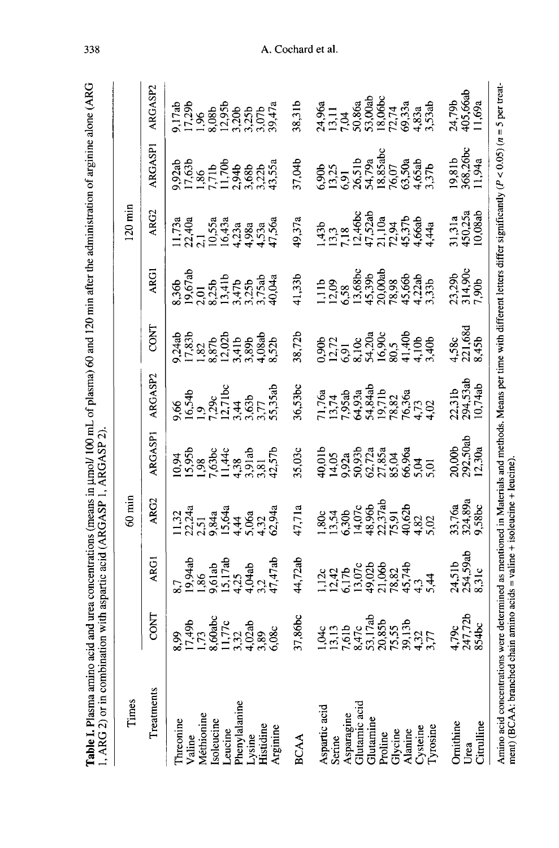| 1, ARG 2) or in combinat                                                                                                        |      | ion with aspartic acid (ARGASP 1, ARGASP 2).                                                                                                                                                                                                                                                                   |                                                                                                                                                                              |                                                                                                                                                                                                                                                                                |         |                                                                                                                                 |             |                                                                                                                                                                                                                                                                                                                 |       |                                                                                                                                                                                                                                                                              |
|---------------------------------------------------------------------------------------------------------------------------------|------|----------------------------------------------------------------------------------------------------------------------------------------------------------------------------------------------------------------------------------------------------------------------------------------------------------------|------------------------------------------------------------------------------------------------------------------------------------------------------------------------------|--------------------------------------------------------------------------------------------------------------------------------------------------------------------------------------------------------------------------------------------------------------------------------|---------|---------------------------------------------------------------------------------------------------------------------------------|-------------|-----------------------------------------------------------------------------------------------------------------------------------------------------------------------------------------------------------------------------------------------------------------------------------------------------------------|-------|------------------------------------------------------------------------------------------------------------------------------------------------------------------------------------------------------------------------------------------------------------------------------|
| Times                                                                                                                           |      |                                                                                                                                                                                                                                                                                                                | $60 \text{ min}$                                                                                                                                                             |                                                                                                                                                                                                                                                                                |         |                                                                                                                                 |             | $120 \text{ min}$                                                                                                                                                                                                                                                                                               |       |                                                                                                                                                                                                                                                                              |
| Treatments                                                                                                                      | CONT | <b>ARGI</b>                                                                                                                                                                                                                                                                                                    | ARG2                                                                                                                                                                         | RGASPI                                                                                                                                                                                                                                                                         | ARGASP2 | <b>CONT</b>                                                                                                                     | <b>ARGI</b> | ARG2                                                                                                                                                                                                                                                                                                            | RGASP | RGASP2                                                                                                                                                                                                                                                                       |
| Valine<br>Méthionine<br>Isoleucine<br>Leucine<br>Phenylalanine<br>Phenylalanine<br>Lysine<br>Histidine<br>Threonine<br>Arginine |      |                                                                                                                                                                                                                                                                                                                |                                                                                                                                                                              |                                                                                                                                                                                                                                                                                |         |                                                                                                                                 |             |                                                                                                                                                                                                                                                                                                                 |       |                                                                                                                                                                                                                                                                              |
| <b>BCAA</b>                                                                                                                     |      |                                                                                                                                                                                                                                                                                                                |                                                                                                                                                                              |                                                                                                                                                                                                                                                                                |         |                                                                                                                                 |             |                                                                                                                                                                                                                                                                                                                 |       |                                                                                                                                                                                                                                                                              |
| Aspartic acid<br>Scrine<br>Scrine<br>Asparagine<br>Glutamine<br>Clutamine<br>Clycine<br>Alanine<br>Alanine<br>Alanine           |      | $\begin{array}{l} 5.7 \\ 5.94ab \\ 1.86 \\ 1.517ab \\ 1.174ab \\ 1.125 \\ 1.22 \\ 1.24 \\ 1.25 \\ 1.26 \\ 1.27 \\ 1.28 \\ 1.29 \\ 1.20 \\ 1.21 \\ 1.22 \\ 1.23 \\ 1.24 \\ 1.25 \\ 1.26 \\ 1.27 \\ 1.28 \\ 1.29 \\ 1.20 \\ 1.23 \\ 1.24 \\ 1.25 \\ 1.26 \\ 1.27 \\ 1.28 \\ 1.29 \\ 1.23 \\ 1.24 \\ 1.25 \\ 1.2$ | $1,32441,2,3441,3,4441,3,4441,3,4441,3,4441,4,4,441,5,641,64,641,64,64,641,64,64,641,64,641,64,641,64,641,64,641,64,641,64,641,64,641,64,641,64,651,661,68,681,691,7,891,89$ | $10.25$<br>$10.35$<br>$10.43$<br>$10.55$<br>$10.55$<br>$10.55$<br>$10.55$<br>$10.55$<br>$10.55$<br>$10.55$<br>$10.55$<br>$10.55$<br>$10.55$<br>$10.55$<br>$10.55$<br>$10.55$<br>$10.55$<br>$10.55$<br>$10.55$<br>$10.55$<br>$10.55$<br>$10.55$<br>$10.55$<br>$10.55$<br>$10.5$ |         | $7.3351.8321.8371.8381.8371.8381.8381.8381.8381.8381.8381.8381.8381.8381.8381.8381.8381.8381.8381.8381.8381.8381.8381.8381.838$ |             | $1.734$<br>$1.744$<br>$1.554$<br>$1.534$<br>$1.434$<br>$1.534$<br>$1.313$<br>$1.435$<br>$1.435$<br>$1.435$<br>$1.435$<br>$1.435$<br>$1.435$<br>$1.436$<br>$1.436$<br>$1.436$<br>$1.436$<br>$1.436$<br>$1.436$<br>$1.436$<br>$1.436$<br>$1.436$<br>$1.436$<br>$1.436$<br>$1.436$<br>$1.436$<br>$1.436$<br>$1.43$ |       | $\begin{array}{llll} 1.75 & 0.85 & 0.85 & 0.85 & 0.85 & 0.85 & 0.85 & 0.85 & 0.85 & 0.85 & 0.85 & 0.85 & 0.85 & 0.85 & 0.85 & 0.85 & 0.85 & 0.85 & 0.85 & 0.85 & 0.85 & 0.85 & 0.85 & 0.85 & 0.85 & 0.85 & 0.85 & 0.85 & 0.85 & 0.85 & 0.85 & 0.85 & 0.85 & 0.85 & 0.85 & 0$ |
| Ornithine<br>Citrulline<br>Urea                                                                                                 |      |                                                                                                                                                                                                                                                                                                                |                                                                                                                                                                              |                                                                                                                                                                                                                                                                                |         |                                                                                                                                 |             |                                                                                                                                                                                                                                                                                                                 |       |                                                                                                                                                                                                                                                                              |

Amino acid concentrations were determined as mentioned in Materials and methods. Means per time with different letters differ significantly ( $P < 0.05$ ) ( $n = 5$  per treatment) (BCAA: branched chain amino acids = valine + i

Table I. Plasma amino acid and urea concentrations (means in umol/100 mL of plasma) 60 and 120 min after the administration of arginine alone (ARG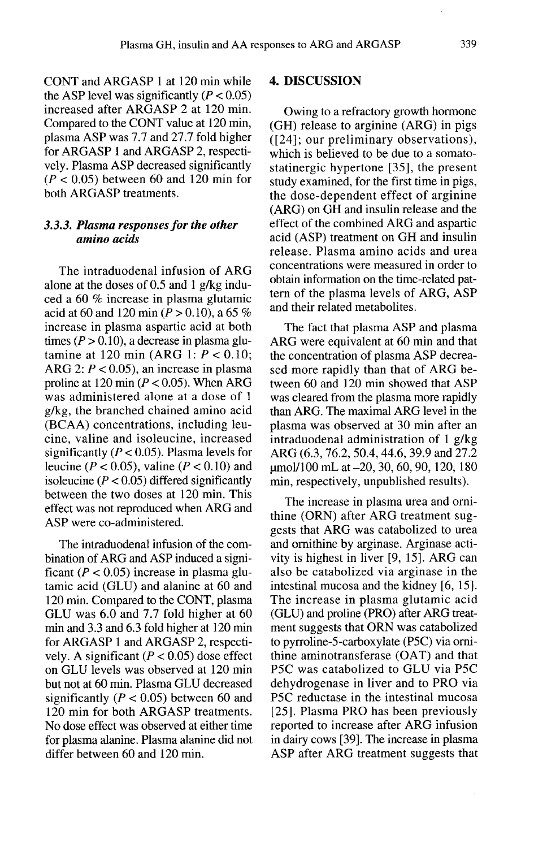CONT and ARGASP 1 at 120 min while the ASP level was significantly  $(P < 0.05)$ increased after ARGASP 2 at 120 min. Compared to the CONT value at 120 min, plasma ASP was 7.7 and 27.7 fold higher for ARGASP 1 and ARGASP 2, respectively. Plasma ASP decreased significantly  $(P < 0.05)$  between 60 and 120 min for both ARGASP treatments.

# 3.3.3. Plasma responses for the other amino acids

The intraduodenal infusion of ARG alone at the doses of 0.5 and 1 g/kg induced a 60 % increase in plasma glutamic acid at 60 and 120 min ( $\dot{P} > 0.10$ ), a 65 % increase in plasma aspartic acid at both times ( $P > 0.10$ ), a decrease in plasma glutamine at 120 min (ARG 1:  $P < 0.10$ ; ARG 2:  $P < 0.05$ ), an increase in plasma proline at 120 min  $(P < 0.05)$ . When ARG was administered alone at a dose of 1 g/kg, the branched chained amino acid (BCAA) concentrations, including leucine, valine and isoleucine, increased significantly ( $P < 0.05$ ). Plasma levels for leucine ( $P < 0.05$ ), valine ( $P < 0.10$ ) and isoleucine  $(P < 0.05)$  differed significantly between the two doses at 120 min. This effect was not reproduced when ARG and ASP were co-administered.

The intraduodenal infusion of the combination of ARG and ASP induced a significant ( $P < 0.05$ ) increase in plasma glutamic acid (GLU) and alanine at 60 and 120 min. Compared to the CONT, plasma GLU was 6.0 and 7.7 fold higher at 60 min and 3.3 and 6.3 fold higher at 120 min for ARGASP 1 and ARGASP 2, respectively. A significant ( $P < 0.05$ ) dose effect on GLU levels was observed at 120 min but not at 60 min. Plasma GLU decreased significantly ( $P < 0.05$ ) between 60 and 120 min for both ARGASP treatments. No dose effect was observed at either time for plasma alanine. Plasma alanine did not differ between 60 and 120 min.

#### 4. DISCUSSION

Owing to a refractory growth hormone (GH) release to arginine (ARG) in pigs ([24]; our preliminary observations), which is believed to be due to a somatostatinergic hypertone [35], the present study examined, for the first time in pigs, the dose-dependent effect of arginine  $(ARG)$  on  $G\overline{H}$  and insulin release and the effect of the combined ARG and aspartic acid (ASP) treatment on GH and insulin release. Plasma amino acids and urea concentrations were measured in order to obtain information on the time-related pat- tern of the plasma levels of ARG, ASP and their related metabolites.

The fact that plasma ASP and plasma ARG were equivalent at 60 min and that the concentration of plasma ASP decreased more rapidly than that of ARG between 60 and 120 min showed that ASP was cleared from the plasma more rapidly than ARG. The maximal ARG level in the plasma was observed at 30 min after an intraduodenal administration of 1 g/kg ARG (6.3, 76.2, 50.4, 44.6, 39.9 and 27.2 umol/100 mL at -20, 30, 60, 90, 120, 180 min, respectively, unpublished results).

The increase in plasma urea and ornithine (ORN) after ARG treatment suggests that ARG was catabolized to urea and ornithine by arginase. Arginase activity is highest in liver [9, 15]. ARG can also be catabolized via arginase in the intestinal mucosa and the kidney [6, 15]. The increase in plasma glutamic acid (GLU) and proline (PRO) after ARG treatment suggests that ORN was catabolized to pyrroline-5-carboxylate (P5C) via omithine aminotransferase (OAT) and that P5C was catabolized to GLU via P5C dehydrogenase in liver and to PRO via P5C reductase in the intestinal mucosa [25]. Plasma PRO has been previously reported to increase after ARG infusion in dairy cows [39]. The increase in plasma ASP after ARG treatment suggests that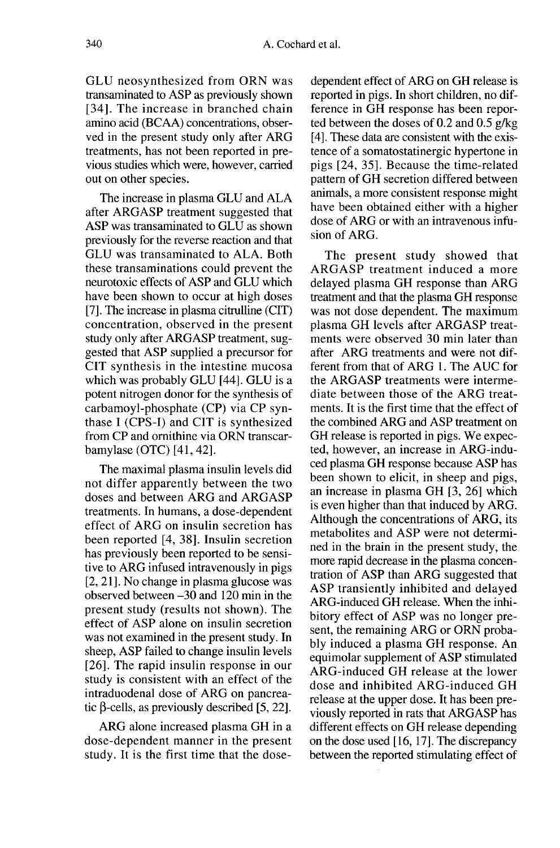GLU neosynthesized from ORN was transaminated to ASP as previously shown [34]. The increase in branched chain amino acid (BCAA) concentrations, observed in the present study only after ARG treatments, has not been reported in previous studies which were, however, carried out on other species.

The increase in plasma GLU and ALA after ARGASP treatment suggested that ASP was transaminated to GLU as shown previously for the reverse reaction and that GLU was transaminated to ALA. Both these transaminations could prevent the neurotoxic effects of ASP and GLU which have been shown to occur at high doses [7]. The increase in plasma citrulline (CIT) concentration, observed in the present study only after ARGASP treatment, suggested that ASP supplied a precursor for CIT synthesis in the intestine mucosa which was probably GLU [44]. GLU is a potent nitrogen donor for the synthesis of carbamoyl-phosphate (CP) via CP synthase I (CPS-I) and CIT is synthesized from CP and ornithine via ORN transcarbamylase (OTC) [41, 42].

The maximal plasma insulin levels did not differ apparently between the two doses and between ARG and ARGASP treatments. In humans, a dose-dependent effect of ARG on insulin secretion has been reported [4, 38]. Insulin secretion has previously been reported to be sensitive to ARG infused intravenously in pigs [2, 21]. No change in plasma glucose was observed between -30 and 120 min in the present study (results not shown). The effect of ASP alone on insulin secretion was not examined in the present study. In sheep, ASP failed to change insulin levels [26]. The rapid insulin response in our study is consistent with an effect of the intraduodenal dose of ARG on pancreatic  $\beta$ -cells, as previously described [5, 22].

ARG alone increased plasma GH in a dose-dependent manner in the present study. It is the first time that the dose-

dependent effect of ARG on GH release is reported in pigs. In short children, no difference in GH response has been reported between the doses of 0.2 and 0.5 g/kg [4]. These data are consistent with the existence of a somatostatinergic hypertone in pigs [24, 35]. Because the time-related pattern of GH secretion differed between animals, a more consistent response might have been obtained either with a higher dose of ARG or with an intravenous infusion of ARG.

The present study showed that ARGASP treatment induced a more delayed plasma GH response than ARG treatment and that the plasma GH response was not dose dependent. The maximum plasma GH levels after ARGASP treatments were observed 30 min later than after ARG treatments and were not different from that of ARG 1. The AUC for the ARGASP treatments were intermediate between those of the ARG treatments. It is the first time that the effect of the combined ARG and ASP treatment on GH release is reported in pigs. We expected, however, an increase in ARG-induced plasma GH response because ASP has<br>been shown to elicit, in sheep and pigs, an increase in plasma GH [3, 26] which is even higher than that induced by ARG. Although the concentrations of ARG, its metabolites and ASP were not determined in the brain in the present study, the more rapid decrease in the plasma concentration of ASP than ARG suggested that ASP transiently inhibited and delayed ARG-induced GH release. When the inhibitory effect of ASP was no longer present, the remaining ARG or ORN probably induced a plasma GH response. An equimolar supplement of ASP stimulated ARG-induced GH release at the lower dose and inhibited ARG-induced GH release at the upper dose. It has been previously reported in rats that ARGASP has different effects on GH release depending on the dose used [16, 17]. The discrepancy between the reported stimulating effect of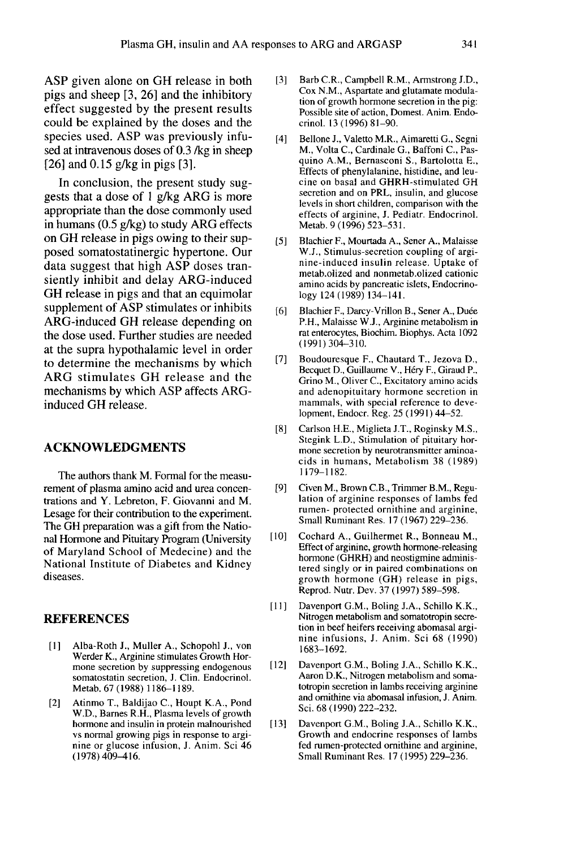ASP given alone on GH release in both pigs and sheep [3, 26] and the inhibitory effect suggested by the present results could be explained by the doses and the species used. ASP was previously infused at intravenous doses of 0.3 /kg in sheep [26] and 0.15 g/kg in pigs [3].

In conclusion, the present study suggests that a dose of 1 g/kg ARG is more appropriate than the dose commonly used in humans (0.5 g/kg) to study ARG effects on GH release in pigs owing to their supposed somatostatinergic hypertone. Our data suggest that high ASP doses transiently inhibit and delay ARG-induced GH release in pigs and that an equimolar supplement of ASP stimulates or inhibits ARG-induced GH release depending on the dose used. Further studies are needed at the supra hypothalamic level in order to determine the mechanisms by which ARG stimulates GH release and the mechanisms by which ASP affects ARGinduced GH release.

#### ACKNOWLEDGMENTS

The authors thank M. Formal for the measurement of plasma amino acid and urea concentrations and Y. Lebreton, F. Giovanni and M. Lesage for their contribution to the experiment. The GH preparation was a gift from the National Hormone and Pituitary Program (University of Maryland School of Medecine) and the National Institute of Diabetes and Kidney diseases.

# **REFERENCES**

- [1] ]Alba-Roth J., Muller A., Schopohl J., von Werder K., Arginine stimulates Growth Hormone secretion by suppressing endogenous somatostatin secretion, J. Clin. Endocrinol. Metab. 67 (1988) 1186-1189.
- [2] Atinmo T., Baldijao C., Houpt K.A., Pond W.D., Barnes R.H., Plasma levels of growth hormone and insulin in protein malnourished vs normal growing pigs in response to arginine or glucose infusion, J. Anim. Sci 46 (1978) 409-416.
- [3] Barb C.R., Campbell R.M., Armstrong J.D., Cox N.M., Aspartate and glutamate modulation of growth hormone secretion in the pig: Possible site of action, Domest. Anim. Endocrinol. 13 (1996) 81-90.
- [4] Bellone J., Valetto M.R., Aimaretti G., Segni M., Volta C., Cardinale G., Baffoni C., Pasquino A.M., Bernasconi S., Bartolotta E., Effects of phenylalanine, histidine, and leucine on basal and GHRH-stimulated GH secretion and on PRL, insulin, and glucose levels in short children, comparison with the effects of arginine, J. Pediatr. Endocrinol. Metab. 9 (1996) 523-531.
- [5] Blachier F., Mourtada A., Sener A., Malaisse W.J., Stimulus-secretion coupling of arginine-induced insulin release. Uptake of metab.olized and nonmetab.olized cationic amino acids by pancreatic islets, Endocrinology 124 (1989) 134-141.
- [6] Blachier F., Darcy-Vrillon B., Sener A., Duée P.H., Malaisse W.J., Arginine metabolism in rat enterocytes, Biochim. Biophys. Acta 1092 (1991)304-310.
- [7] Boudouresque F., Chautard T., Jezova D., Becquet D., Guillaume V., Hery F., Giraud P., Grino M., Oliver C., Excitatory amino acids and adenopituitary hormone secretion in mammals, with special reference to development, Endocr. Reg. 25 (1991) 44-52.
- [8] Carlson H.E., Miglieta J.T., Roginsky M.S., Stegink L.D., Stimulation of pituitary hormone secretion by neurotransmitter aminoacids in humans, Metabolism 38 (1989) 1179-1182.
- [9] Civen M., Brown C.B., Trimmer B.M., Regulation of arginine responses of lambs fed rumen- protected ornithine and arginine, Small Ruminant Res. 17 (1967) 229-236.
- [10] Cochard A., Guilhermet R., Bonneau M., Effect of arginine, growth hormone-releasing hormone (GHRH) and neostigmine administered singly or in paired combinations on growth hormone (GH) release in pigs, Reprod. Nutr. Dev. 37 (1997) 589-598.
- [11] Davenport G.M., Boling J.A., Schillo K.K., Nitrogen metabolism and somatotropin secretion in beef heifers receiving abomasal arginine infusions, J. Anim. Sci 68 (1990) 1683-1692.
- [12] Davenport G.M., Boling J.A., Schillo K.K., Aaron D.K., Nitrogen metabolism and somatotropin secretion in lambs receiving arginine and ornithine via abomasal infusion, J. Anim. Sci. 68 (1990) 222-232.
- [13] Davenport G.M., Boling J.A., Schillo K.K., Growth and endocrine responses of lambs fed rumen-protected ornithine and arginine, Small Ruminant Res. 17 (1995) 229-236.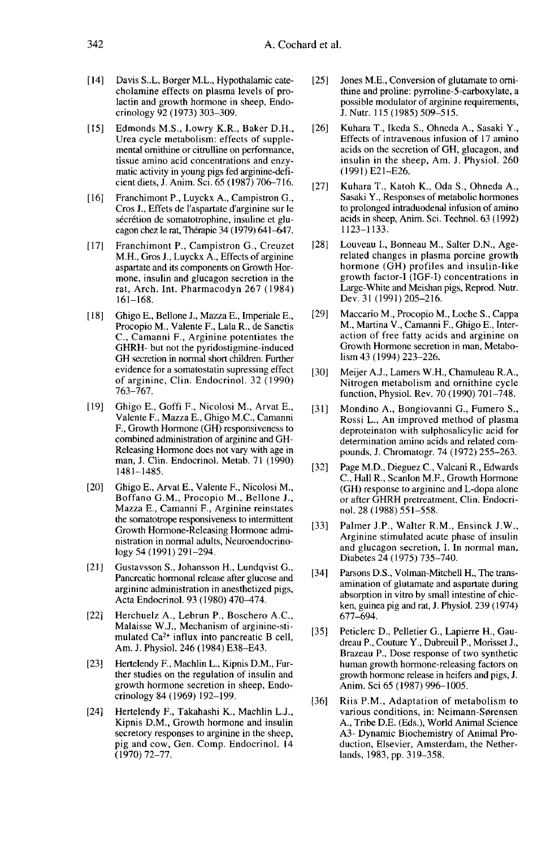- [14] Davis S..L, Borger M.L., Hypothalamic catecholamine effects on plasma levels of pro lactin and growth hormone in sheep, Endocrinology 92 (1973) 303-309.
- [15] Edmonds M.S., Lowry K.R., Baker D.H., Urea cycle metabolism: effects of supple mental ornithine or citrulline on performance, tissue amino acid concentrations and enzymatic activity in young pigs fed arginine-deficient diets, J. Anim. Sci. 65 (1987) 706-716.
- [16] Franchimont P., Luyckx A., Campistron G., Cros J., Effets de l'aspartate d'arginine sur le sécrétion de somatotrophine, insuline et glucagon chez le rat, Thérapie 34 (1979) 641-647.
- [17] Franchimont P., Campistron G., Creuzet M.H., Gros J., Luyckx A., Effects of arginine aspartate and its components on Growth Hormone, insulin and glucagon secretion in the rat, Arch. Int. Pharmacodyn 267 (1984) 161-168.
- [18] Ghigo E., Bellone J., Mazza E., Imperiale E., Procopio M., Valente F., Lala R., de Sanctis C., Camanni F., Arginine potentiates the GHRH- but not the pyridostigmine-induced GH secretion in normal short children. Further evidence for a somatostatin supressing effect of arginine, Clin. Endocrinol. 32 (1990) 763-767.
- [19] Ghigo E., Goffi F., Nicolosi M., Arvat E., Valente F., Mazza E., Ghigo M.C., Camanni F., Growth Hormone (GH) responsiveness to combined administration of arginine and GH-Releasing Hormone does not vary with age in man, J. Clin. Endocrinol. Metab. 71 (1990) 1481-1485.
- [20] Ghigo E., Arvat E., Valente F., Nicolosi M., Boffano G.M., Procopio M., Bellone J., Mazza E., Camanni F., Arginine reinstates the somatotrope responsiveness to intermittent Growth Hormone-Releasing Hormone administration in normal adults, Neuroendocrinology 54 (1991) 291-294.
- [21] Gustavsson S., Johansson H., Lundqvist G., Pancreatic hormonal release after glucose and arginine administration in anesthetized pigs, Acta Endocrinol. 93 (1980) 470-474.
- [22] Herchuelz A., Lebrun P., Boschero A.C., Malaisse W.J., Mechanism of arginine-stimulated Ca2+ influx into pancreatic B cell, Am. J. Physiol. 246 (1984) E38-E43.
- [23] Hertelendy F., Machlin L., Kipnis D.M., Further studies on the regulation of insulin and growth hormone secretion in sheep, Endocrinology 84 ( 1969) 192-199.
- [24] Hertelendy F., Takahashi K., Machlin L.J., Kipnis D.M., Growth hormone and insulin secretory responses to arginine in the sheep, pig and cow, Gen. Comp. Endocrinol. 14 (1970)72-77.
- [25] Jones M.E., Conversion of glutamate to ornithine and proline: pyrroline-5-carboxylate, a possible modulator of arginine requirements, J. Nutr. 115 (1985) 509-515.
- [26] Kuhara T., Ikeda S., Ohneda A., Sasaki Y., Effects of intravenous infusion of 17 amino acids on the secretion of GH, glucagon, and insulin in the sheep, Am. J. Physiol. 260 (1991) E21-E26.
- [27] Kuhara T., Katoh K., Oda S., Ohneda A., Sasaki Y., Responses of metabolic hormones to prolonged intraduodenal infusion of amino acids in sheep, Anim. Sci. Technol. 63 (1992) 1123-1133.
- [28] Louveau I., Bonneau M., Salter D.N., Age-<br>related changes in plasma porcine growth hormone (GH) profiles and insulin-like growth factor-I (IGF-I) concentrations in Large-White and Meishan pigs, Reprod. Nutr. Dev. 31 (1991) 205-216.
- [29] Maccario M., Procopio M., Loche S., Cappa M., Martina V., Camanni F., Ghigo E., Interaction of free fatty acids and arginine on Growth Hormone secretion in man, Metabolism 43 (1994) 223-226.
- [30] Meijer A.J., Lamers W.H., Chamuleau R.A., Nitrogen metabolism and ornithine cycle function, Physiol. Rev. 70 (1990) 701-748.
- [31] Mondino A., Bongiovanni G., Fumero S., Rossi L., An improved method of plasma deproteinaton with sulphosalicylic acid for determination amino acids and related compounds, J. Chromatogr. 74 (1972) 255-263.
- [32] Page M.D., Dieguez C., Valcani R., Edwards C., Hall R., Scanlon M.F., Growth Hormone (GH) response to arginine and L-dopa alone or after GHRH pretreatment, Clin. Endocrinol. 28 ( 1988) 551-558.
- [33] Palmer J.P., Walter R.M., Ensinck J.W., Arginine stimulated acute phase of insulin and glucagon secretion, 1. In normal man, Diabetes 24 (1975) 735-740.
- [34] Parsons D.S., Volman-Mitchell H., The transamination of glutamate and aspartate during absorption in vitro by small intestine of chicken, guinea pig and rat, J. Physiol. 239 (1974) 677-694.
- [35] Peticlerc D., Pelletier G., Lapierre H., Gaudreau P., Couture Y., Dubreuil P., Morisset J., Brazeau P., Dose response of two synthetic human growth hormone-releasing factors on growth hormone release in heifers and pigs, J. Anim. Sci 65 (1987) 996-1005. 677–694.<br>
Peticlerc D., Pelletier G., Lapierre H., Gau-<br>
dreau P., Couture Y., Dubreuil P., Morisset J.,<br>
Brazeau P., Dose response of two synthetic<br>
human growth hormone-releasing factors on<br>
growth hormone release in hei
- [36] Riis P.M., Adaptation of metabolism to A., Tribe D.E. (Eds.), World Animal Science A3- Dynamic Biochemistry of Animal Production, Elsevier, Amsterdam, the Netherlands, 1983, pp. 319-358.